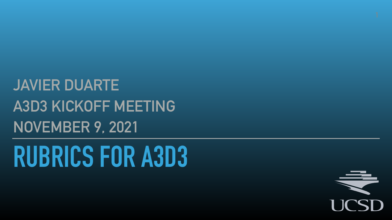# **RUBRICS FOR A3D3 JAVIER DUARTE A3D3 KICKOFF MEETING NOVEMBER 9, 2021**



UCSD

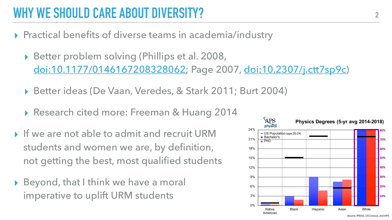- ▸ Practical benefits of diverse teams in academia/industry
	- ▸ Better problem solving (Phillips et al. 2008, [doi:10.1177/0146167208328062;](https://doi.org/10.1177/0146167208328062) Page 2007, [doi:10.2307/j.ctt7sp9c\)](https://doi.org/10.2307/j.ctt7sp9c)
	- ▸ Better ideas (De Vaan, Veredes, & Stark 2011; Burt 2004)
	- ▸ Research cited more: Freeman & Huang 2014
- ▸ If we are not able to admit and recruit URM students and women we are, by definition, not getting the best, most qualified students
- ▸ Beyond, that I think we have a moral imperative to uplift URM students





# **WHY WE SHOULD CARE ABOUT DIVERSITY? <sup>2</sup>**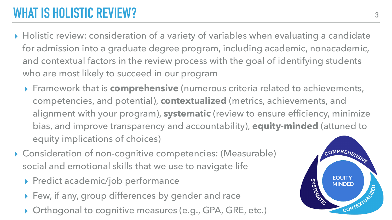# **WHAT IS HOLISTIC REVIEW?**

▶ Holistic review: consideration of a variety of variables when evaluating a candidate for admission into a graduate degree program, including academic, nonacademic, and contextual factors in the review process with the goal of identifying students

- who are most likely to succeed in our program
	- equity implications of choices)
- ▸ Consideration of non-cognitive competencies: (Measurable) social and emotional skills that we use to navigate life
	- ▸ Predict academic/job performance
	- ▸ Few, if any, group differences by gender and race
	- ▶ Orthogonal to cognitive measures (e.g., GPA, GRE, etc.)

▸ Framework that is **comprehensive** (numerous criteria related to achievements, competencies, and potential), **contextualized** (metrics, achievements, and alignment with your program), **systematic** (review to ensure efficiency, minimize bias, and improve transparency and ac<sup>c.cne</sup>ntability), **equity-minded** (attuned to  $H \circ h$ 

> considerations in all aspects of the constant of the constant of the constant of the constant of the constant of the constant of the constant of the constant of the constant of the constant of the constant of the constant :S: ( IVIE  $\mathbf{A} = \mathbf{A} \mathbf{A}$ riqate life assess them.

 $\overline{\phantom{a}}$ lique the ones in the ones in the ones in the ones in the ones in the ones in the ones in the ones in the ones surface cultural assumptions and begin PA, GRE.

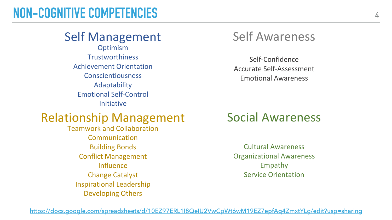#### **NON-COGNITIVE COMPETENCIES**

#### Self Management Self Awareness

Self-Confidence Accurate Self-Assessment Emotional Awareness

Optimism Trustworthiness Achievement Orientation Conscientiousness Adaptability Emotional Self-Control Initiative

#### Relationship Management Social Awareness

Cultural Awareness Organizational Awareness Empathy Service Orientation

Teamwork and Collaboration Communication Building Bonds Conflict Management **Influence** Change Catalyst Inspirational Leadership Developing Others

<https://docs.google.com/spreadsheets/d/10EZ97ERL1I8QeIU2VwCpWt6wM19EZ7epfAq4ZmxtYLg/edit?usp=sharing>

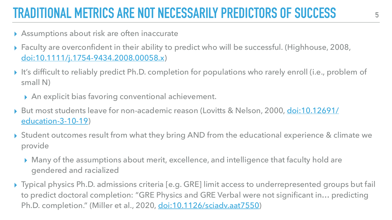# **TRADITIONAL METRICS ARE NOT NECESSARILY PREDICTORS OF SUCCESS**

- ▶ Assumptions about risk are often inaccurate
- ▸ Faculty are overconfident in their ability to predict who will be successful. (Highhouse, 2008, [doi:10.1111/j.1754-9434.2008.00058.x](https://doi.org/10.1111/j.1754-9434.2008.00058.x))
- ▸ It's difficult to reliably predict Ph.D. completion for populations who rarely enroll (i.e., problem of small N)
	- ▶ An explicit bias favoring conventional achievement.
- ▶ But most students leave for non-academic reason (Lovitts & Nelson, 2000, [doi:10.12691/](http://doi.org/10.12691/education-3-10-19) [education-3-10-19\)](http://doi.org/10.12691/education-3-10-19)
- ▸ Student outcomes result from what they bring AND from the educational experience & climate we provide
	- ▸ Many of the assumptions about merit, excellence, and intelligence that faculty hold are gendered and racialized
- ▶ Typical physics Ph.D. admissions criteria [e.g. GRE] limit access to underrepresented groups but fail to predict doctoral completion: "GRE Physics and GRE Verbal were not significant in… predicting Ph.D. completion." (Miller et al., 2020, [doi:10.1126/sciadv.aat7550\)](https://doi.org/10.1126/sciadv.aat7550)







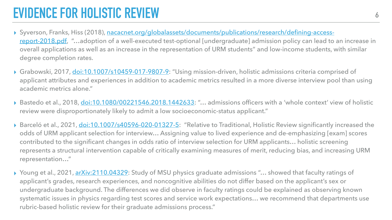# **EVIDENCE FOR HOLISTIC REVIEW**

[report-2018.pdf,](https://www.nacacnet.org/globalassets/documents/publications/research/defining-access-report-2018.pdf) "...adoption of a well-executed test-optional [undergraduate] admission policy can lead to an increase in overall applications as well as an increase in the representation of URM students" and low-income students, with similar

▶ Grabowski, 2017, [doi:10.1007/s10459-017-9807-9:](https://doi.org/10.1007/s10459-017-9807-9) "Using mission-driven, holistic admissions criteria comprised of applicant attributes and experiences in addition to academic metrics resulted in a more diverse interview pool than using

▶ Bastedo et al., 2018, [doi:10.1080/00221546.2018.1442633:](https://doi.org/10.1080/00221546.2018.1442633) "... admissions officers with a 'whole context' view of holistic

▶ Barceló et al., 2021, *[doi:10.1007/s40596-020-01327-5](https://link.springer.com/article/10.1007/s40596-020-01327-5)*: "Relative to Traditional, Holistic Review significantly increased the odds of URM applicant selection for interview… Assigning value to lived experience and de-emphasizing [exam] scores represents a structural intervention capable of critically examining measures of merit, reducing bias, and increasing URM

▶ Young et al., 2021, [arXiv:2110.04329:](https://arxiv.org/abs/2110.04329) Study of MSU physics graduate admissions "... showed that faculty ratings of undergraduate background. The differences we did observe in faculty ratings could be explained as observing known systematic issues in physics regarding test scores and service work expectations… we recommend that departments use

- ▸ Syverson, Franks, Hiss (2018), [nacacnet.org/globalassets/documents/publications/research/defining-access](https://www.nacacnet.org/globalassets/documents/publications/research/defining-access-report-2018.pdf)degree completion rates.
- academic metrics alone."
- review were disproportionately likely to admit a low socioeconomic-status applicant."
- contributed to the significant changes in odds ratio of interview selection for URM applicants… holistic screening representation…"
- applicant's grades, research experiences, and noncognitive abilities do not differ based on the applicant's sex or rubric-based holistic review for their graduate admissions process."

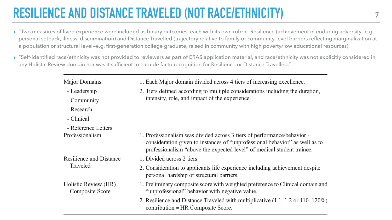# **RESILIENCE AND DISTANCE TRAVELED (NOT RACE/ETHNICITY)**

- Leadership
- Community
- Research
- Clinical
- Reference Letters

1. Each Major domain divided across 4 tiers of increasing excellence.

2. Tiers defined according to multiple considerations including the duration, intensity, role, and impact of the experience.

Professionalism 1. Professionalism was divided across 3 tiers of performance/behavior consideration given to instances of "unprofessional behavior" as well as to

professionalism "above the expected level" of medical student trainee.

Resilience and Distance Traveled

- 
- 1. Divided across 2 tiers
- 
- 
- 

2. Consideration to applicants life experience including achievement despite personal hardship or structural barriers.

Holistic Review (HR) Composite Score

- 
- 

1. Preliminary composite score with weighted preference to Clinical domain and "unprofessional" behavior with negative value.

2. Resilience and Distance Traveled with multiplicative (1.1–1.2 or 110–120%) contribution = HR Composite Score.

▸ "Two measures of lived experience were included as binary outcomes, each with its own rubric: Resilience (achievement in enduring adversity—e.g. personal setback, illness, discrimination) and Distance Travelled (trajectory relative to family or community-level barriers reflecting marginalization at a population or structural level—e.g. first-generation college graduate, raised in community with high poverty/low educational resources).

 $\blacktriangleright$  "Self-identified race/ethnicity was not provided to reviewers as part of ERAS application material, and race/ethnicity was not explicitly considered in

- 
- any Holistic Review domain nor was it sufficient to earn de facto recognition for Resilience or Distance Travelled."

#### Major Domains:

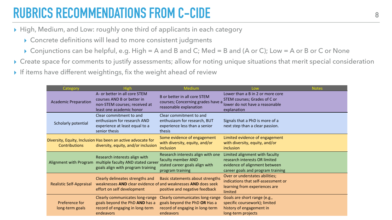# **RUBRICS RECOMMENDATIONS FROM C-CIDE**

- ▸ High, Medium, and Low: roughly one third of applicants in each category
	- ▸ Concrete definitions will lead to more consistent judgments
	- ▸ Conjunctions can be helpful, e.g. High = A and B and C; Med = B and (A or C); Low = A or B or C or None
- ▶ Create space for comments to justify assessments; allow for noting unique situations that merit special consideration <br>
C-CIDE
- ▶ If items have content weightings, fix the weight ahead of review

| Category                                 | <b>High</b>                                                                                                                     | <b>Medium</b>                                                                                                                                    | Low                                                                                                                                   | <b>Notes</b> |
|------------------------------------------|---------------------------------------------------------------------------------------------------------------------------------|--------------------------------------------------------------------------------------------------------------------------------------------------|---------------------------------------------------------------------------------------------------------------------------------------|--------------|
| <b>Academic Preparation</b>              | A- or better in all core STEM<br>courses AND B or better in<br>non-STEM courses; received at<br>least one academic honor        | B or better in all core STEM<br>courses; Concerning grades have a<br>reasonable explanation                                                      | Lower than a B in 2 or more core<br><b>STEM courses; Grades of C or</b><br>lower do not have a reasonable<br>explanation              |              |
| <b>Scholarly potential</b>               | Clear commitment to and<br>enthusiasm for research AND<br>experience at least equal to a<br>senior thesis                       | Clear commitment to and<br>enthusiasm for research, BUT<br>experience less than a senior<br>thesis                                               | Signals that a PhD is more of a<br>next step than a clear passion.                                                                    |              |
| <b>Contributions</b>                     | Diversity, Equity, Inclusion Has been an active advocate for<br>diversity, equity, and/or inclusion                             | Some evidence of engagement<br>with diversity, equity, and/or<br>inclusion                                                                       | Limited evidence of engagement<br>with diversity, equity, and/or<br>inclusion                                                         |              |
| Alignment with Program                   | Research interests align with<br>multiple faculty AND stated career<br>goals align with program training                        | Research interests align with one<br>faculty member AND<br>stated career goals align with<br>program training                                    | Limited alignment with faculty<br>research interests OR limited<br>evidence of alignment between<br>career goals and program training |              |
| <b>Realistic Self-Appraisal</b>          | Clearly delineates strengths and<br>weaknesses AND clear evidence of and weaknesses AND does seek<br>effort on self development | Basic statements about strengths<br>positive and negative feedback                                                                               | Over or understates abilities;<br>indications that self-assessment or<br>learning from experiences are<br>limited                     |              |
| <b>Preference for</b><br>long-term goals | goals beyond the PhD AND has a<br>record of engaging in long-term<br>endeavors                                                  | Clearly communicates long-range Clearly communicates long-range<br>goals beyond the PhD OR Has a<br>record of engaging in long-term<br>endeavors | Goals are short range (e.g.,<br>specific coursework); limited<br>history of engagement in<br>long-term projects                       |              |

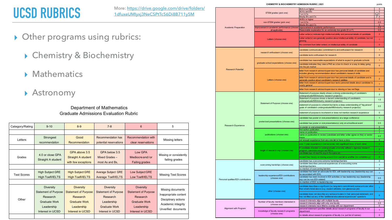### **UCSD RUBRICS**

- ▸ Other programs using rubrics:
	- ▸ Chemistry & Biochemistry
	- ▸ Mathematics
	- ▸ Astronomy

#### points

|  |                                      | STEM grades (pick one)                                                                             | All A-'s or higher<br>All A's and B's<br>1 or 2 C's<br>Mostly B's and C's                                                                                         | 3<br>$\overline{2}$<br>) 1<br>$\overline{0}$ |
|--|--------------------------------------|----------------------------------------------------------------------------------------------------|-------------------------------------------------------------------------------------------------------------------------------------------------------------------|----------------------------------------------|
|  |                                      | non-STEM grades (pick one)                                                                         | All B's or higher<br>1 or 2 C's<br>Mostly B's and C's                                                                                                             | -1<br>0.5<br>$\mathbf{0}$                    |
|  | <b>Academic Preparation</b>          | improvement in academic performance (choose improvement in academic performance<br>all applicable) | Reasonable explanation for an extremely low grade (D or F)                                                                                                        | 0.5<br>0.5                                   |
|  |                                      | Letters (choose one)                                                                               | Letter writer(s) indicate high intellectual ability and personal details of candidate                                                                             | 2                                            |
|  |                                      |                                                                                                    | Letter writer(s) are generally positive about intellectual ability of candidate, but not<br>glowing                                                               |                                              |
|  |                                      |                                                                                                    | No comment from letter writers on intellectual ability of candidate                                                                                               | $\overline{0}$                               |
|  |                                      | research enthusiasm (choose one)                                                                   | candidate communicates commitment to and enthusiasm for research                                                                                                  | -1                                           |
|  |                                      |                                                                                                    | candidate lacks enthusiasm for research                                                                                                                           | $\mathbf{0}$                                 |
|  |                                      | graduate school expectations (choose one)                                                          | candidate has reasonable expectations of what to expect in graduate schools                                                                                       | $\blacktriangleleft$                         |
|  |                                      |                                                                                                    | candidate indicates they view a PhD as a box to check or a way to delay going<br>into the job market                                                              | $\mathbf{0}$                                 |
|  | <b>Research Potential</b>            |                                                                                                    | letter from research advisor/supervisor has personal details of candidate and<br>includes glowing recommendation about candidate's research skills                | 3                                            |
|  |                                      | Letters (choose one)                                                                               | letter from research advisor/supervisor has personal details of candidate and is<br>generally positive about candidate's research abilities                       | $\overline{2}$                               |
|  |                                      |                                                                                                    | letter from research advisor/supervisor lacks personal details about candidate/ is<br>overly general                                                              | $\overline{1}$                               |
|  |                                      |                                                                                                    | letter from research advisor/supervisor is missing or has red flags                                                                                               | $\mathbf{0}$                                 |
|  |                                      |                                                                                                    | Statement of purpose clearly shows a strong understanding of candidate's<br>undergraduate/MS/industry research project(s)                                         | 2                                            |
|  |                                      |                                                                                                    | Statement of purpose shows a decent understanding of candidate's<br>undergraduate/MS/industry research project(s)                                                 | 1.5                                          |
|  |                                      | Statement of Purpose (choose one)                                                                  | statement of purpose is coherent but lacks a deep understanding of "big picture"<br>goals of candidate's undergraduate/MS/industry research project(s)            | 0.5                                          |
|  |                                      |                                                                                                    | statement of purpose is incoherent or does not mention research experience                                                                                        | $\overline{0}$                               |
|  |                                      |                                                                                                    | candidate has poster or oral presentation(s) at a large conference                                                                                                | -1                                           |
|  |                                      | poster/oral presentations (choose one)                                                             | candidate has poster or oral presentation(s) only at school/local event                                                                                           | 0.5                                          |
|  | <b>Research Experience</b>           |                                                                                                    | no poster or oral presentations<br>first author publication                                                                                                       | $\overline{0}$<br>$\overline{2}$             |
|  |                                      | publications (choose one)                                                                          | name on publication                                                                                                                                               |                                              |
|  |                                      |                                                                                                    | name on publication in review (candidate and letter writer agree on this) or senior<br>thesis                                                                     | 0.5                                          |
|  |                                      |                                                                                                    | not enough experience from any one lab to have a story                                                                                                            | $\overline{0}$                               |
|  |                                      |                                                                                                    | over 1 year experience in the same lab, with significant body of work done                                                                                        | 2 <sup>1</sup>                               |
|  |                                      | length of research exp (choose one)                                                                | If candidate attended an undergraduate university without a rigorous research<br>program, candidate sought out REUs                                               | $\overline{2}$                               |
|  |                                      |                                                                                                    | candidate has >6 months exp in the same lab                                                                                                                       |                                              |
|  |                                      |                                                                                                    | student has history of moving around from one lab to another (no consistency)                                                                                     | $\overline{0}$                               |
|  |                                      | overcoming hardships (choose one)                                                                  | candidate has overcome extreme hardships/barriers<br>candidate describes personal experiences of overcoming some                                                  | $\overline{2}$<br>$\mathbf{1}$               |
|  |                                      |                                                                                                    | hardships/barriers<br>no mention of overcoming barriers                                                                                                           | $\mathbf 0$                                  |
|  |                                      | leadership experience/EDI contributions<br>(choose one)                                            | candidate has been an advocate for EDI, with leadership exp (leadership exp can                                                                                   | $\overline{1}$                               |
|  | Personal qualities/EDI contributions |                                                                                                    | be associated with EDI)<br>candidate has been involved in EDI activities or has leadership exp (leadership<br>exp can be non-EDI-related)                         | 0.5                                          |
|  |                                      |                                                                                                    | no mention of EDI/ no leadership exp                                                                                                                              | $\overline{0}$                               |
|  |                                      | other (choose one)                                                                                 | candidate describes a significant (i.e. long-term commitment) extracurricular other<br>than what's listed above (e.g. student-athelete, non-glamorous job)        |                                              |
|  |                                      |                                                                                                    | candidate does not describe any extracurriculars in their personal statement, and<br>has not filled out any of the "additional educational experiences" questions | $\overline{0}$                               |
|  | Alignment with Program               | Number of faculty members interested in                                                            | research interests align with multiple faculty                                                                                                                    |                                              |
|  |                                      | (choose one)                                                                                       | research interests align with only one faculty<br>research interests have little/no overlap with our department                                                   | 0.5<br>$\mathbf{0}$                          |
|  |                                      | knowledge of faculty research programs<br>(choose one)                                             | personal statement specifies details about research programs of faculty in our<br>department                                                                      | -1                                           |
|  |                                      |                                                                                                    | no details about research programs of faculty (i.e. just list of names)                                                                                           | $\overline{0}$                               |

#### **CHEMISTRY & BIOCHEMISTRY ADMISSION RUBRIC | 2021**

Department of Mathematics Graduate Admissions Evaluation Rubric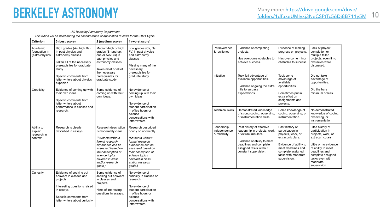#### **BERKELEY ASTRONOMY** Many more: https://drive.google.com/drive/<br> **10** folders/1dfuxeUMlyxj3NeCSPtTc56Di8B711y5M 10

#### *UC Berkeley Astronomy Department*

*This rubric will be used during the second round of application reviews for the 2021 Cycle.*

| <b>Criterion</b>                                | 3 (best score)                                                                                                                                                                                                    | 2 (medium score)                                                                                                                                                                                                           | 1 (worst score)                                                                                                                                                                                                            |
|-------------------------------------------------|-------------------------------------------------------------------------------------------------------------------------------------------------------------------------------------------------------------------|----------------------------------------------------------------------------------------------------------------------------------------------------------------------------------------------------------------------------|----------------------------------------------------------------------------------------------------------------------------------------------------------------------------------------------------------------------------|
| Academic<br>foundation in<br>(astro)physics     | High grades (As, high Bs)<br>in past physics and<br>astronomy classes<br>Taken all of the necessary<br>prerequisites for graduate<br>study<br>Specific comments from<br>letter writers about physics<br>expertise | Medium-high or high<br>grades (B- and up;<br>one or two C's) in<br>past physics and<br>astronomy classes<br>Taken most or all of<br>the necessary<br>prerequisites for<br>graduate study                                   | Low grades (Cs, Ds,<br>Fs) in past physics<br>and astronomy<br>classes<br>Missing many of the<br>necessary<br>prerequisites for<br>graduate study                                                                          |
| Creativity                                      | Evidence of coming up with<br>their own ideas.<br>Specific comments from<br>letter writers about<br>performance in classes and<br>research.                                                                       | Some evidence of<br>coming up with their<br>own ideas.                                                                                                                                                                     | No evidence of<br>coming up with their<br>own ideas.<br>No evidence of<br>student participation<br>in office hours or<br>science<br>conversations with<br>letter writers.                                                  |
| Ability to<br>explain<br>research in<br>context | Research is clearly<br>described in essays.                                                                                                                                                                       | Research description<br>is moderately clear.<br>(Students without<br>formal research<br>experience can be<br>assessed based on<br>their description of<br>science topics<br>covered in class<br>and/or research<br>goals.) | Research described<br>poorly or incorrectly.<br>(Students without<br>formal research<br>experience can be<br>assessed based on<br>their description of<br>science topics<br>covered in class<br>and/or research<br>goals.) |
| Curiosity                                       | Evidence of seeking out<br>answers in classes and<br>projects.<br>Interesting questions raised<br>in essays.<br>Specific comments from<br>letter writers about curiosity.                                         | Some evidence of<br>seeking out answers<br>in classes and<br>projects.<br>Hints of interesting<br>questions in essays.                                                                                                     | No evidence of<br>curiosity in classes or<br>research.<br>No evidence of<br>student participation<br>in office hours or<br>science<br>conversations with<br>letter writers.                                                |

| Perseverance<br>& resilience                  | Evidence of completing<br>projects.<br>Has overcome obstacles to<br>achieve success.                                                                                                           | Evidence of making<br>progress on projects.<br>Has overcome minor<br>obstacles to success.                                                                                                 | Lack of project<br>completion or<br>multiple failed<br>projects, even if no<br>obstacles were<br>discussed.                                                                                                          |
|-----------------------------------------------|------------------------------------------------------------------------------------------------------------------------------------------------------------------------------------------------|--------------------------------------------------------------------------------------------------------------------------------------------------------------------------------------------|----------------------------------------------------------------------------------------------------------------------------------------------------------------------------------------------------------------------|
| Initiative                                    | Took full advantage of<br>available opportunities.<br>Evidence of going the extra<br>mile to surpass<br>expectations.                                                                          | Took some<br>advantage of<br>available<br>opportunities.<br>Sometimes put in<br>extra effort on<br>assignments and<br>projects.                                                            | Did not take<br>advantage of<br>opportunities.<br>Did the bare<br>minimum or less.                                                                                                                                   |
| <b>Technical skills</b>                       | Demonstrated knowledge<br>of strong coding, observing,<br>or instrumentation skills.                                                                                                           | Some knowledge of<br>coding, observing, or<br>instrumentation.                                                                                                                             | No demonstrated<br>knowledge of coding,<br>observing, or<br>instrumentation.                                                                                                                                         |
| Leadership,<br>independence,<br>& reliability | Past history of effective<br>leadership in projects, work,<br>or extracurriculars.<br>Evidence of ability to meet<br>deadlines and complete<br>assigned tasks without<br>constant supervision. | Past history of<br>participation in<br>projects, work, or<br>extracurriculars.<br>Evidence of ability to<br>meet deadlines and<br>complete assigned<br>tasks with moderate<br>supervision. | Little history of<br>participation in<br>projects, work, or<br>extracurriculars.<br>Little or no evidence<br>of ability to meet<br>deadlines and<br>complete assigned<br>tasks even with<br>moderate<br>supervision. |

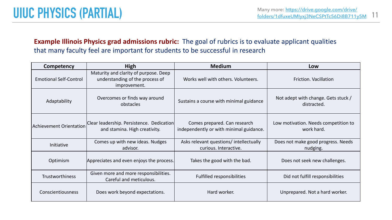| Competency                    | <b>High</b>                                                                              | <b>Medium</b>                                                           | Low                                                |
|-------------------------------|------------------------------------------------------------------------------------------|-------------------------------------------------------------------------|----------------------------------------------------|
| <b>Emotional Self-Control</b> | Maturity and clarity of purpose. Deep<br>understanding of the process of<br>improvement. | Works well with others. Volunteers.                                     | <b>Friction. Vacillation</b>                       |
| Adaptability                  | Overcomes or finds way around<br>obstacles                                               | Sustains a course with minimal guidance                                 | Not adept with change. Gets stuck /<br>distracted. |
| Achievement Orientation       | Clear leadership. Persistence. Dedication<br>and stamina. High creativity.               | Comes prepared. Can research<br>independently or with minimal guidance. | Low motivation. Needs competition to<br>work hard. |
| Initiative                    | Comes up with new ideas. Nudges<br>advisor.                                              | Asks relevant questions/intellectually<br>curious. Interactive.         | Does not make good progress. Needs<br>nudging.     |
| Optimism                      | Appreciates and even enjoys the process.                                                 | Takes the good with the bad.                                            | Does not seek new challenges.                      |
| <b>Trustworthiness</b>        | Given more and more responsibilities.<br>Careful and meticulous.                         | <b>Fulfilled responsibilities</b>                                       | Did not fulfill responsibilities                   |
| <b>Conscientiousness</b>      | Does work beyond expectations.                                                           | Hard worker.                                                            | Unprepared. Not a hard worker.                     |

#### Many more: [https://drive.google.com/drive/](https://drive.google.com/drive/folders/1dfuxeUMIyxj3NeCSPtTc56Di8B711y5M)<br> **IIUC PHYSICS (PARTIAL)** and the computation of the computation of the community of the community of the community of the community of the community of the community of the commu

#### **Example Illinois Physics grad admissions rubric:** The goal of rubrics is to evaluate applicant qualities that many faculty feel are important for students to be successful in research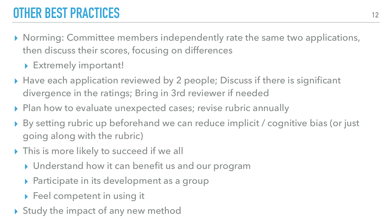# **OTHER BEST PRACTICES**

▸ Norming: Committee members independently rate the same two applications,

▶ By setting rubric up beforehand we can reduce implicit / cognitive bias (or just

then discuss their scores, focusing on differences

▸ Extremely important!

- ▸ Have each application reviewed by 2 people; Discuss if there is significant divergence in the ratings; Bring in 3rd reviewer if needed
- ▸ Plan how to evaluate unexpected cases; revise rubric annually
- going along with the rubric)
- ▸ This is more likely to succeed if we all
	- ▸ Understand how it can benefit us and our program
	- ▶ Participate in its development as a group
	- ▸ Feel competent in using it
- ▸ Study the impact of any new method

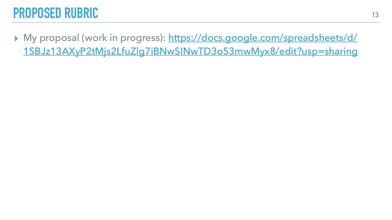#### **PROPOSED RUBRIC**

▸ My proposal (work in progress): [https://docs.google.com/spreadsheets/d/](https://docs.google.com/spreadsheets/d/1SBJz13AXyP2tMjs2LfuZlg7iBNwSINwTD3o53mwMyx8/edit?usp=sharing) [1SBJz13AXyP2tMjs2LfuZlg7iBNwSINwTD3o53mwMyx8/edit?usp=sharing](https://docs.google.com/spreadsheets/d/1SBJz13AXyP2tMjs2LfuZlg7iBNwSINwTD3o53mwMyx8/edit?usp=sharing)